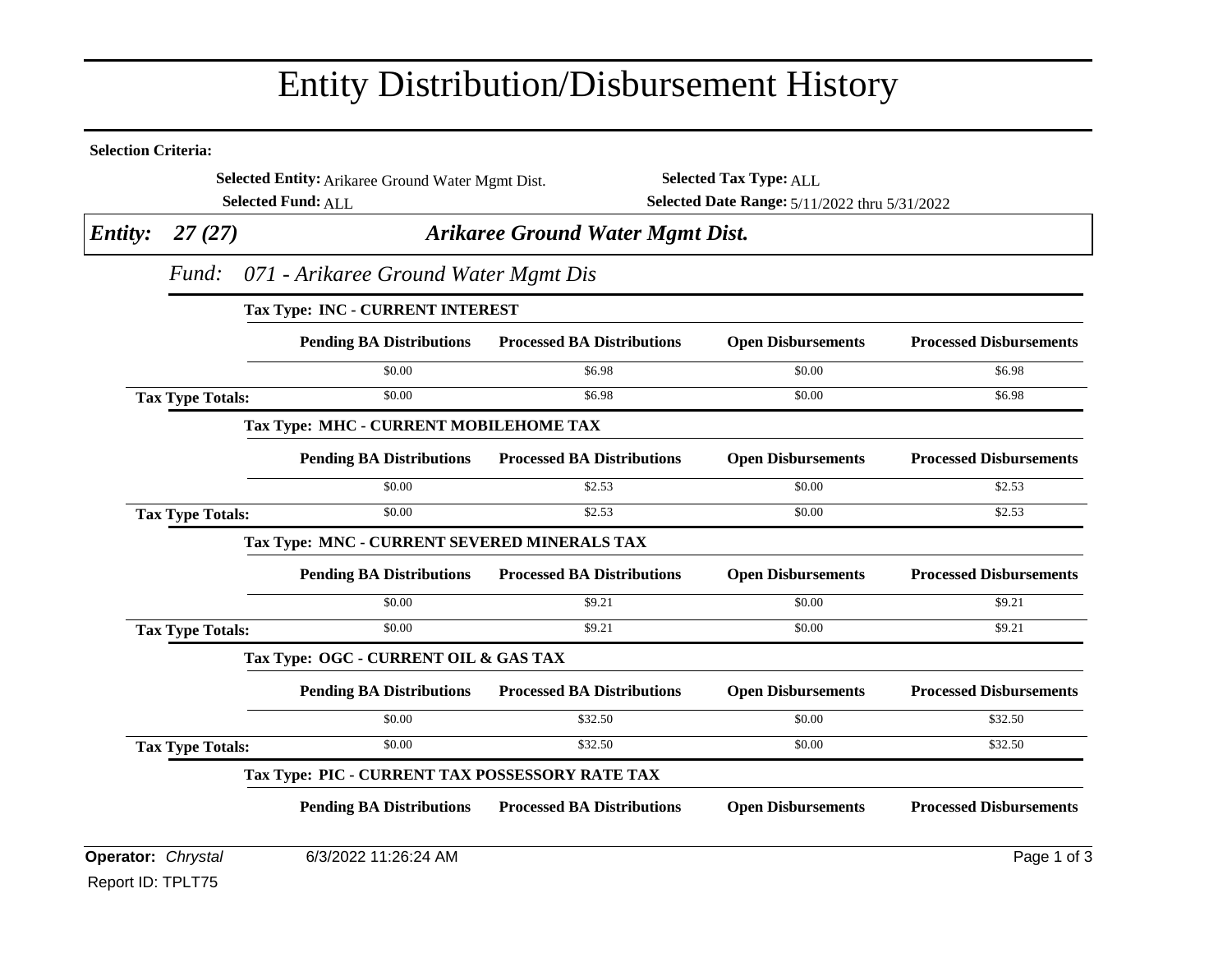## Entity Distribution/Disbursement History

| <b>Selection Criteria:</b> |                                         |                                                   |                                         |                                               |                                |  |  |
|----------------------------|-----------------------------------------|---------------------------------------------------|-----------------------------------------|-----------------------------------------------|--------------------------------|--|--|
|                            |                                         | Selected Entity: Arikaree Ground Water Mgmt Dist. |                                         | <b>Selected Tax Type: ALL</b>                 |                                |  |  |
|                            | <b>Selected Fund: ALL</b>               |                                                   |                                         | Selected Date Range: 5/11/2022 thru 5/31/2022 |                                |  |  |
| <b>Entity:</b>             | 27(27)                                  |                                                   | <b>Arikaree Ground Water Mgmt Dist.</b> |                                               |                                |  |  |
|                            |                                         | Fund: 071 - Arikaree Ground Water Mgmt Dis        |                                         |                                               |                                |  |  |
|                            | <b>Tax Type: INC - CURRENT INTEREST</b> |                                                   |                                         |                                               |                                |  |  |
|                            |                                         | <b>Pending BA Distributions</b>                   | <b>Processed BA Distributions</b>       | <b>Open Disbursements</b>                     | <b>Processed Disbursements</b> |  |  |
|                            |                                         | \$0.00                                            | \$6.98                                  | \$0.00                                        | \$6.98                         |  |  |
|                            | <b>Tax Type Totals:</b>                 | \$0.00                                            | \$6.98                                  | \$0.00                                        | \$6.98                         |  |  |
|                            |                                         | Tax Type: MHC - CURRENT MOBILEHOME TAX            |                                         |                                               |                                |  |  |
|                            |                                         | <b>Pending BA Distributions</b>                   | <b>Processed BA Distributions</b>       | <b>Open Disbursements</b>                     | <b>Processed Disbursements</b> |  |  |
|                            |                                         | \$0.00                                            | \$2.53                                  | \$0.00                                        | \$2.53                         |  |  |
|                            | <b>Tax Type Totals:</b>                 | \$0.00                                            | \$2.53                                  | \$0.00                                        | \$2.53                         |  |  |
|                            |                                         | Tax Type: MNC - CURRENT SEVERED MINERALS TAX      |                                         |                                               |                                |  |  |
|                            |                                         | <b>Pending BA Distributions</b>                   | <b>Processed BA Distributions</b>       | <b>Open Disbursements</b>                     | <b>Processed Disbursements</b> |  |  |
|                            |                                         | \$0.00                                            | \$9.21                                  | \$0.00                                        | \$9.21                         |  |  |
|                            | <b>Tax Type Totals:</b>                 | \$0.00                                            | \$9.21                                  | \$0.00                                        | \$9.21                         |  |  |
|                            |                                         | Tax Type: OGC - CURRENT OIL & GAS TAX             |                                         |                                               |                                |  |  |
|                            |                                         | <b>Pending BA Distributions</b>                   | <b>Processed BA Distributions</b>       | <b>Open Disbursements</b>                     | <b>Processed Disbursements</b> |  |  |
|                            |                                         | \$0.00                                            | \$32.50                                 | \$0.00                                        | \$32.50                        |  |  |
|                            | <b>Tax Type Totals:</b>                 | \$0.00                                            | \$32.50                                 | \$0.00                                        | \$32.50                        |  |  |
|                            |                                         | Tax Type: PIC - CURRENT TAX POSSESSORY RATE TAX   |                                         |                                               |                                |  |  |
|                            |                                         | <b>Pending BA Distributions</b>                   | <b>Processed BA Distributions</b>       | <b>Open Disbursements</b>                     | <b>Processed Disbursements</b> |  |  |
| Operator: Chrystal         |                                         | 6/3/2022 11:26:24 AM                              |                                         |                                               | Page 1 of 3                    |  |  |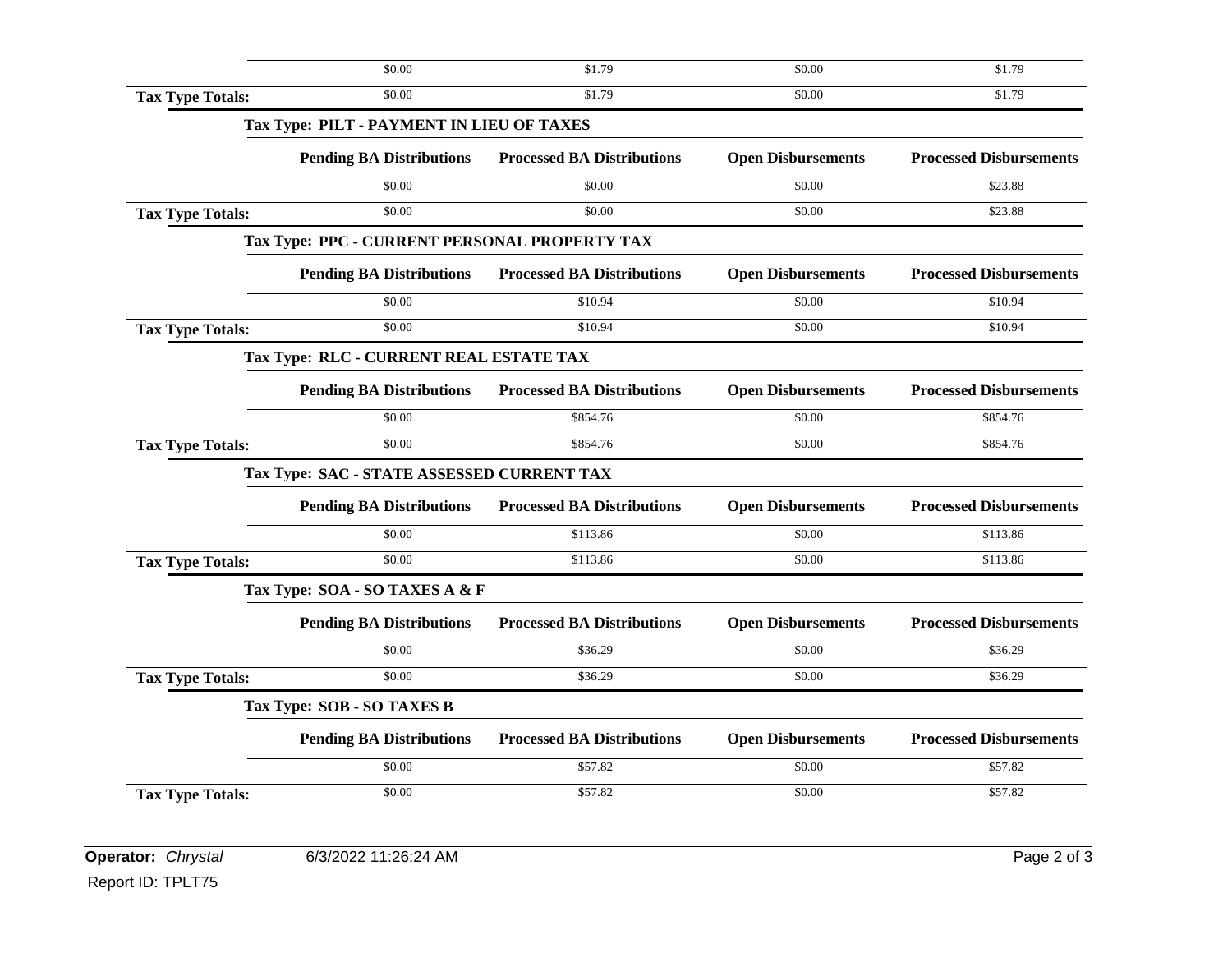|                         | \$0.00                                        | \$1.79                            | \$0.00                    | \$1.79                         |
|-------------------------|-----------------------------------------------|-----------------------------------|---------------------------|--------------------------------|
| <b>Tax Type Totals:</b> | \$0.00                                        | \$1.79                            | \$0.00                    | \$1.79                         |
|                         | Tax Type: PILT - PAYMENT IN LIEU OF TAXES     |                                   |                           |                                |
|                         | <b>Pending BA Distributions</b>               | <b>Processed BA Distributions</b> | <b>Open Disbursements</b> | <b>Processed Disbursements</b> |
|                         | \$0.00                                        | \$0.00                            | \$0.00                    | \$23.88                        |
| <b>Tax Type Totals:</b> | \$0.00                                        | \$0.00                            | \$0.00                    | \$23.88                        |
|                         | Tax Type: PPC - CURRENT PERSONAL PROPERTY TAX |                                   |                           |                                |
|                         | <b>Pending BA Distributions</b>               | <b>Processed BA Distributions</b> | <b>Open Disbursements</b> | <b>Processed Disbursements</b> |
|                         | \$0.00                                        | \$10.94                           | \$0.00                    | \$10.94                        |
| <b>Tax Type Totals:</b> | \$0.00                                        | \$10.94                           | \$0.00                    | \$10.94                        |
|                         | Tax Type: RLC - CURRENT REAL ESTATE TAX       |                                   |                           |                                |
|                         | <b>Pending BA Distributions</b>               | <b>Processed BA Distributions</b> | <b>Open Disbursements</b> | <b>Processed Disbursements</b> |
|                         | \$0.00                                        | \$854.76                          | \$0.00                    | \$854.76                       |
| <b>Tax Type Totals:</b> | \$0.00                                        | \$854.76                          | \$0.00                    | \$854.76                       |
|                         | Tax Type: SAC - STATE ASSESSED CURRENT TAX    |                                   |                           |                                |
|                         | <b>Pending BA Distributions</b>               | <b>Processed BA Distributions</b> | <b>Open Disbursements</b> | <b>Processed Disbursements</b> |
|                         | \$0.00                                        | \$113.86                          | \$0.00                    | \$113.86                       |
| <b>Tax Type Totals:</b> | \$0.00                                        | \$113.86                          | \$0.00                    | \$113.86                       |
|                         | Tax Type: SOA - SO TAXES A & F                |                                   |                           |                                |
|                         | <b>Pending BA Distributions</b>               | <b>Processed BA Distributions</b> | <b>Open Disbursements</b> | <b>Processed Disbursements</b> |
|                         | \$0.00                                        | \$36.29                           | \$0.00                    | \$36.29                        |
| <b>Tax Type Totals:</b> | \$0.00                                        | \$36.29                           | \$0.00                    | \$36.29                        |
|                         | Tax Type: SOB - SO TAXES B                    |                                   |                           |                                |
|                         | <b>Pending BA Distributions</b>               | <b>Processed BA Distributions</b> | <b>Open Disbursements</b> | <b>Processed Disbursements</b> |
|                         | \$0.00                                        | \$57.82                           | \$0.00                    | \$57.82                        |
| <b>Tax Type Totals:</b> | \$0.00                                        | \$57.82                           | \$0.00                    | \$57.82                        |